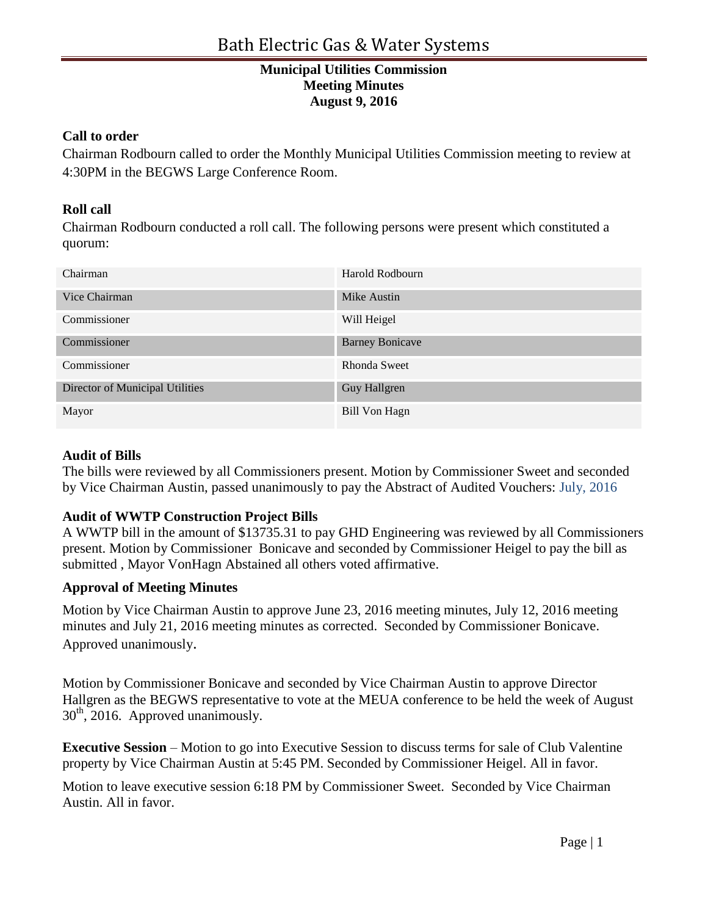## **Municipal Utilities Commission Meeting Minutes August 9, 2016**

#### **Call to order**

Chairman Rodbourn called to order the Monthly Municipal Utilities Commission meeting to review at 4:30PM in the BEGWS Large Conference Room.

### **Roll call**

Chairman Rodbourn conducted a roll call. The following persons were present which constituted a quorum:

| Chairman                        | Harold Rodbourn        |
|---------------------------------|------------------------|
| Vice Chairman                   | Mike Austin            |
| Commissioner                    | Will Heigel            |
| Commissioner                    | <b>Barney Bonicave</b> |
| Commissioner                    | Rhonda Sweet           |
| Director of Municipal Utilities | Guy Hallgren           |
| Mayor                           | <b>Bill Von Hagn</b>   |

#### **Audit of Bills**

The bills were reviewed by all Commissioners present. Motion by Commissioner Sweet and seconded by Vice Chairman Austin, passed unanimously to pay the Abstract of Audited Vouchers: July, 2016

### **Audit of WWTP Construction Project Bills**

A WWTP bill in the amount of \$13735.31 to pay GHD Engineering was reviewed by all Commissioners present. Motion by Commissioner Bonicave and seconded by Commissioner Heigel to pay the bill as submitted , Mayor VonHagn Abstained all others voted affirmative.

#### **Approval of Meeting Minutes**

Motion by Vice Chairman Austin to approve June 23, 2016 meeting minutes, July 12, 2016 meeting minutes and July 21, 2016 meeting minutes as corrected. Seconded by Commissioner Bonicave. Approved unanimously.

Motion by Commissioner Bonicave and seconded by Vice Chairman Austin to approve Director Hallgren as the BEGWS representative to vote at the MEUA conference to be held the week of August  $30<sup>th</sup>$ , 2016. Approved unanimously.

**Executive Session** – Motion to go into Executive Session to discuss terms for sale of Club Valentine property by Vice Chairman Austin at 5:45 PM. Seconded by Commissioner Heigel. All in favor.

Motion to leave executive session 6:18 PM by Commissioner Sweet. Seconded by Vice Chairman Austin. All in favor.